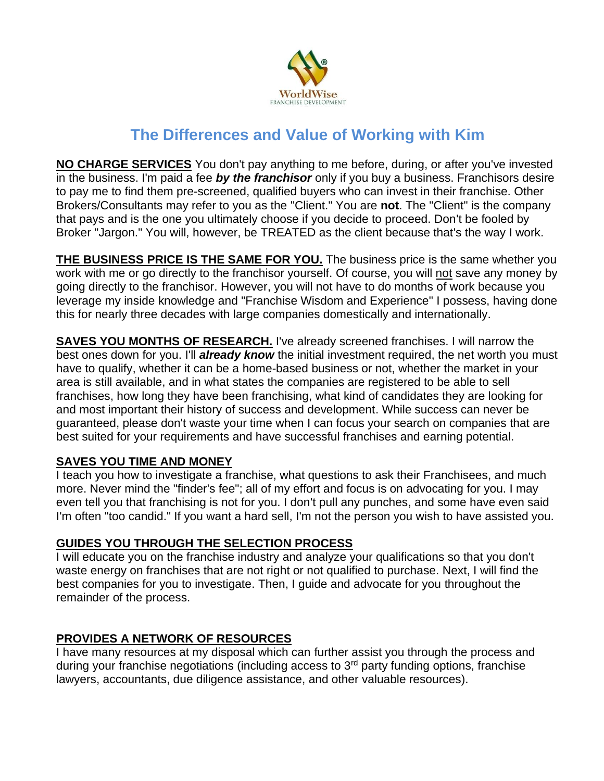

# **The Differences and Value of Working with Kim**

**NO CHARGE SERVICES** You don't pay anything to me before, during, or after you've invested in the business. I'm paid a fee *by the franchisor* only if you buy a business. Franchisors desire to pay me to find them pre-screened, qualified buyers who can invest in their franchise. Other Brokers/Consultants may refer to you as the "Client." You are **not**. The "Client" is the company that pays and is the one you ultimately choose if you decide to proceed. Don't be fooled by Broker "Jargon." You will, however, be TREATED as the client because that's the way I work.

**THE BUSINESS PRICE IS THE SAME FOR YOU.** The business price is the same whether you work with me or go directly to the franchisor yourself. Of course, you will not save any money by going directly to the franchisor. However, you will not have to do months of work because you leverage my inside knowledge and "Franchise Wisdom and Experience" I possess, having done this for nearly three decades with large companies domestically and internationally.

**SAVES YOU MONTHS OF RESEARCH.** I've already screened franchises. I will narrow the best ones down for you. I'll *already know* the initial investment required, the net worth you must have to qualify, whether it can be a home-based business or not, whether the market in your area is still available, and in what states the companies are registered to be able to sell franchises, how long they have been franchising, what kind of candidates they are looking for and most important their history of success and development. While success can never be guaranteed, please don't waste your time when I can focus your search on companies that are best suited for your requirements and have successful franchises and earning potential.

# **SAVES YOU TIME AND MONEY**

I teach you how to investigate a franchise, what questions to ask their Franchisees, and much more. Never mind the "finder's fee"; all of my effort and focus is on advocating for you. I may even tell you that franchising is not for you. I don't pull any punches, and some have even said I'm often "too candid." If you want a hard sell, I'm not the person you wish to have assisted you.

# **GUIDES YOU THROUGH THE SELECTION PROCESS**

I will educate you on the franchise industry and analyze your qualifications so that you don't waste energy on franchises that are not right or not qualified to purchase. Next, I will find the best companies for you to investigate. Then, I guide and advocate for you throughout the remainder of the process.

# **PROVIDES A NETWORK OF RESOURCES**

I have many resources at my disposal which can further assist you through the process and during your franchise negotiations (including access to 3<sup>rd</sup> party funding options, franchise lawyers, accountants, due diligence assistance, and other valuable resources).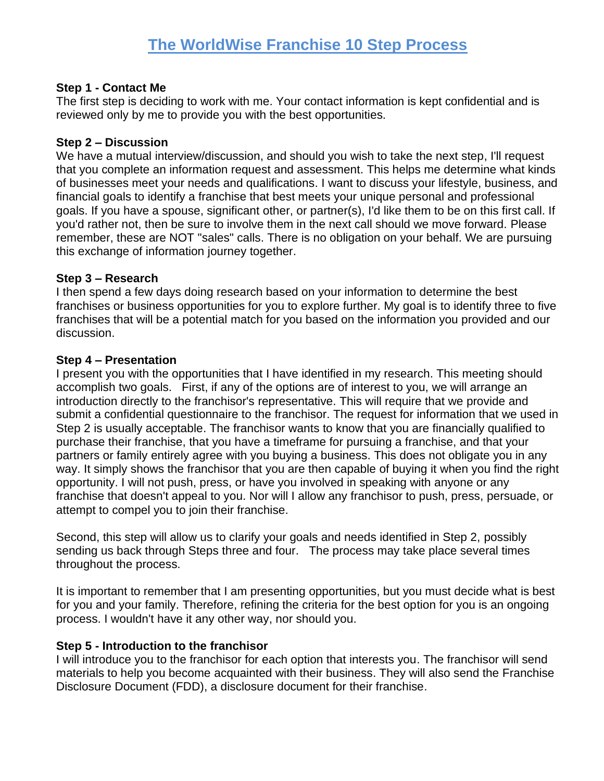## **Step 1 - Contact Me**

The first step is deciding to work with me. Your contact information is kept confidential and is reviewed only by me to provide you with the best opportunities.

## **Step 2 – Discussion**

We have a mutual interview/discussion, and should you wish to take the next step, I'll request that you complete an information request and assessment. This helps me determine what kinds of businesses meet your needs and qualifications. I want to discuss your lifestyle, business, and financial goals to identify a franchise that best meets your unique personal and professional goals. If you have a spouse, significant other, or partner(s), I'd like them to be on this first call. If you'd rather not, then be sure to involve them in the next call should we move forward. Please remember, these are NOT "sales" calls. There is no obligation on your behalf. We are pursuing this exchange of information journey together.

## **Step 3 – Research**

I then spend a few days doing research based on your information to determine the best franchises or business opportunities for you to explore further. My goal is to identify three to five franchises that will be a potential match for you based on the information you provided and our discussion.

## **Step 4 – Presentation**

I present you with the opportunities that I have identified in my research. This meeting should accomplish two goals. First, if any of the options are of interest to you, we will arrange an introduction directly to the franchisor's representative. This will require that we provide and submit a confidential questionnaire to the franchisor. The request for information that we used in Step 2 is usually acceptable. The franchisor wants to know that you are financially qualified to purchase their franchise, that you have a timeframe for pursuing a franchise, and that your partners or family entirely agree with you buying a business. This does not obligate you in any way. It simply shows the franchisor that you are then capable of buying it when you find the right opportunity. I will not push, press, or have you involved in speaking with anyone or any franchise that doesn't appeal to you. Nor will I allow any franchisor to push, press, persuade, or attempt to compel you to join their franchise.

Second, this step will allow us to clarify your goals and needs identified in Step 2, possibly sending us back through Steps three and four. The process may take place several times throughout the process.

It is important to remember that I am presenting opportunities, but you must decide what is best for you and your family. Therefore, refining the criteria for the best option for you is an ongoing process. I wouldn't have it any other way, nor should you.

# **Step 5 - Introduction to the franchisor**

I will introduce you to the franchisor for each option that interests you. The franchisor will send materials to help you become acquainted with their business. They will also send the Franchise Disclosure Document (FDD), a disclosure document for their franchise.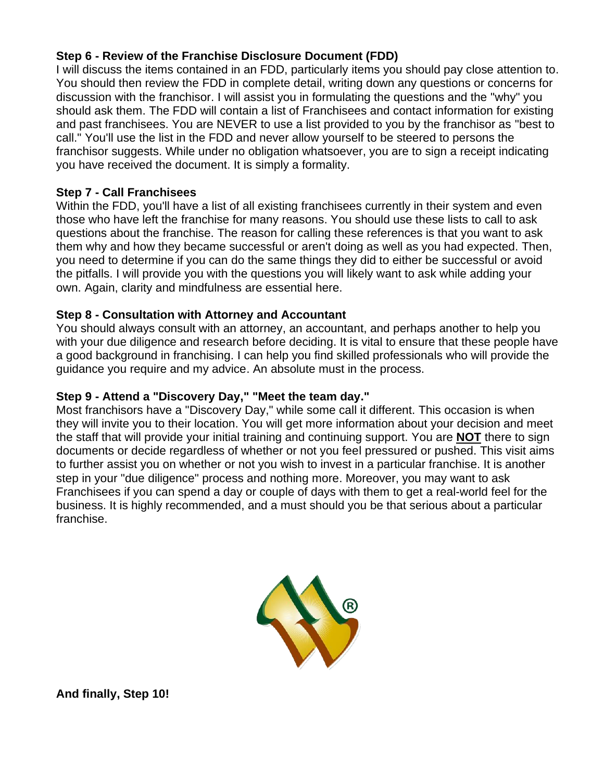# **Step 6 - Review of the Franchise Disclosure Document (FDD)**

I will discuss the items contained in an FDD, particularly items you should pay close attention to. You should then review the FDD in complete detail, writing down any questions or concerns for discussion with the franchisor. I will assist you in formulating the questions and the "why" you should ask them. The FDD will contain a list of Franchisees and contact information for existing and past franchisees. You are NEVER to use a list provided to you by the franchisor as "best to call." You'll use the list in the FDD and never allow yourself to be steered to persons the franchisor suggests. While under no obligation whatsoever, you are to sign a receipt indicating you have received the document. It is simply a formality.

#### **Step 7 - Call Franchisees**

Within the FDD, you'll have a list of all existing franchisees currently in their system and even those who have left the franchise for many reasons. You should use these lists to call to ask questions about the franchise. The reason for calling these references is that you want to ask them why and how they became successful or aren't doing as well as you had expected. Then, you need to determine if you can do the same things they did to either be successful or avoid the pitfalls. I will provide you with the questions you will likely want to ask while adding your own. Again, clarity and mindfulness are essential here.

#### **Step 8 - Consultation with Attorney and Accountant**

You should always consult with an attorney, an accountant, and perhaps another to help you with your due diligence and research before deciding. It is vital to ensure that these people have a good background in franchising. I can help you find skilled professionals who will provide the guidance you require and my advice. An absolute must in the process.

#### **Step 9 - Attend a "Discovery Day," "Meet the team day."**

Most franchisors have a "Discovery Day," while some call it different. This occasion is when they will invite you to their location. You will get more information about your decision and meet the staff that will provide your initial training and continuing support. You are **NOT** there to sign documents or decide regardless of whether or not you feel pressured or pushed. This visit aims to further assist you on whether or not you wish to invest in a particular franchise. It is another step in your "due diligence" process and nothing more. Moreover, you may want to ask Franchisees if you can spend a day or couple of days with them to get a real-world feel for the business. It is highly recommended, and a must should you be that serious about a particular franchise.



**And finally, Step 10!**